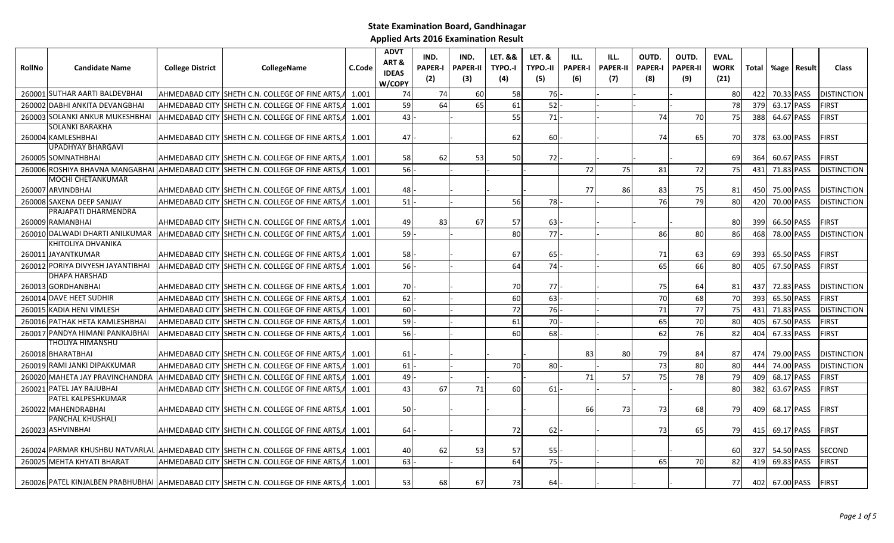| RollNo | <b>Candidate Name</b>                          | <b>College District</b> | <b>CollegeName</b>                                                                       | C.Code | <b>ADVT</b><br>ART&<br><b>IDEAS</b><br>W/COPY | IND.<br><b>PAPER-I</b><br>(2) | IND.<br><b>PAPER-II</b><br>(3) | <b>LET. &amp;&amp;</b><br>TYPO.-I<br>(4) | <b>LET. &amp;</b><br><b>TYPO.-II</b><br>(5) | ILL.<br><b>PAPER-I</b><br>(6) | ILL.<br><b>PAPER-II</b><br>(7) | OUTD.<br><b>PAPER-I</b><br>(8) | OUTD.<br><b>PAPER-II</b><br>(9) | EVAL.<br><b>WORK</b><br>(21) |              |            | Total   %age   Result | <b>Class</b>        |
|--------|------------------------------------------------|-------------------------|------------------------------------------------------------------------------------------|--------|-----------------------------------------------|-------------------------------|--------------------------------|------------------------------------------|---------------------------------------------|-------------------------------|--------------------------------|--------------------------------|---------------------------------|------------------------------|--------------|------------|-----------------------|---------------------|
|        | 260001 SUTHAR AARTI BALDEVBHAI                 |                         | AHMEDABAD CITY SHETH C.N. COLLEGE OF FINE ARTS, A                                        | 1.001  | 74                                            | 74                            | 60                             | 58                                       | 76                                          |                               |                                |                                |                                 | 80                           | 422 l        | 70.33 PASS |                       | <b>IDISTINCTION</b> |
|        | 260002 DABHI ANKITA DEVANGBHAI                 |                         | AHMEDABAD CITY SHETH C.N. COLLEGE OF FINE ARTS.                                          | 1.001  | 59                                            | 64                            | 65                             | 61                                       | 52                                          |                               |                                |                                |                                 | 78                           | 379          | 63.17 PASS |                       | <b>FIRST</b>        |
|        | 260003 SOLANKI ANKUR MUKESHBHAI                |                         | AHMEDABAD CITY SHETH C.N. COLLEGE OF FINE ARTS,                                          | 1.001  | 43                                            |                               |                                | 55                                       | 71                                          |                               |                                | 74                             | 70                              | 75                           | 388          | 64.67 PASS |                       | <b>FIRST</b>        |
|        | <b>SOLANKI BARAKHA</b><br>260004 KAMLESHBHAI   |                         | AHMEDABAD CITY SHETH C.N. COLLEGE OF FINE ARTS, 4 1.001                                  |        | 47                                            |                               |                                | 62                                       | 60                                          |                               |                                | 74                             | 65                              | 70I                          | 378          | 63.00 PASS |                       | <b>FIRST</b>        |
|        | <b>UPADHYAY BHARGAVI</b><br>260005 SOMNATHBHAI |                         | AHMEDABAD CITY SHETH C.N. COLLEGE OF FINE ARTS,A                                         | 1.001  | 58                                            | 62                            | 53                             | 50                                       | 72                                          |                               |                                |                                |                                 | 69                           | 364I         | 60.67 PASS |                       | <b>FIRST</b>        |
|        |                                                |                         | 260006 ROSHIYA BHAVNA MANGABHAI AHMEDABAD CITY SHETH C.N. COLLEGE OF FINE ARTS, A        | 1.001  | 56                                            |                               |                                |                                          |                                             | 72                            | 75                             | 81                             | 72                              | 75                           | 431          | 71.83 PASS |                       | <b>DISTINCTION</b>  |
|        | MOCHI CHETANKUMAR<br>260007 ARVINDBHAI         |                         | AHMEDABAD CITY  SHETH C.N. COLLEGE OF FINE ARTS,A                                        | 1.001  | 48                                            |                               |                                |                                          |                                             | 77                            | 86                             | 83                             | 75                              | 81                           | 450          | 75.00 PASS |                       | <b>DISTINCTION</b>  |
|        | 260008 SAXENA DEEP SANJAY                      |                         | AHMEDABAD CITY SHETH C.N. COLLEGE OF FINE ARTS,                                          | 1.001  | 51                                            |                               |                                | 56                                       | <b>78</b>                                   |                               |                                | 76                             | 79                              | 80                           | 420          | 70.00 PASS |                       | <b>DISTINCTION</b>  |
|        | PRAJAPATI DHARMENDRA<br>260009 RAMANBHAI       |                         | AHMEDABAD CITY SHETH C.N. COLLEGE OF FINE ARTS, 4 1.001                                  |        | 49                                            | 83                            | 67                             | 57                                       | 63                                          |                               |                                |                                |                                 | 80                           | 399 <b>I</b> | 66.50 PASS |                       | <b>FIRST</b>        |
|        | 260010 DALWADI DHARTI ANILKUMAR                |                         | AHMEDABAD CITY SHETH C.N. COLLEGE OF FINE ARTS,                                          | 1.001  | 59                                            |                               |                                | 80                                       | 77                                          |                               |                                | 86                             | 80                              | 86                           | 468          | 78.00 PASS |                       | <b>DISTINCTION</b>  |
|        | KHITOLIYA DHVANIKA                             |                         |                                                                                          |        |                                               |                               |                                |                                          |                                             |                               |                                |                                |                                 |                              |              |            |                       |                     |
|        | 260011 JAYANTKUMAR                             |                         | AHMEDABAD CITY SHETH C.N. COLLEGE OF FINE ARTS, 4 1.001                                  |        | 58                                            |                               |                                | 67                                       | 65                                          |                               |                                | 71                             | 63                              | 69                           | 393I         | 65.50 PASS |                       | <b>FIRST</b>        |
|        | 260012 PORIYA DIVYESH JAYANTIBHAI              |                         | AHMEDABAD CITY ISHETH C.N. COLLEGE OF FINE ARTS.                                         | 1.001  | 56                                            |                               |                                | 64                                       | 74                                          |                               |                                | 65                             | 66                              | 80                           | 405          | 67.50 PASS |                       | <b>FIRST</b>        |
|        | DHAPA HARSHAD<br>260013 GORDHANBHAI            |                         | AHMEDABAD CITY  SHETH C.N. COLLEGE OF FINE ARTS,A                                        | 1.001  | 70                                            |                               |                                | 70                                       | 77                                          |                               |                                | 75                             | 64                              | 81                           | 437          | 72.83 PASS |                       | <b>DISTINCTION</b>  |
|        | 260014 DAVE HEET SUDHIR                        |                         | AHMEDABAD CITY ISHETH C.N. COLLEGE OF FINE ARTS.                                         | 1.001  | 62                                            |                               |                                | 60                                       | 63                                          |                               |                                | 70                             | 68                              | 70                           | 393          | 65.50 PASS |                       | <b>FIRST</b>        |
|        | 260015 KADIA HENI VIMLESH                      |                         | AHMEDABAD CITY  SHETH C.N. COLLEGE OF FINE ARTS,                                         | 1.001  | 60                                            |                               |                                | 72                                       | 76                                          |                               |                                | 71                             | 77                              | 75                           | 431          | 71.83 PASS |                       | <b>DISTINCTION</b>  |
|        | 260016 PATHAK HETA KAMLESHBHAI                 |                         | AHMEDABAD CITY SHETH C.N. COLLEGE OF FINE ARTS.                                          | 1.001  | 59                                            |                               |                                | 61                                       | 70                                          |                               |                                | 65                             | 70                              | 80                           | 405          | 67.50 PASS |                       | <b>FIRST</b>        |
|        | 260017 PANDYA HIMANI PANKAJBHAI                |                         | AHMEDABAD CITY SHETH C.N. COLLEGE OF FINE ARTS,                                          | 1.001  | 56                                            |                               |                                | 60                                       | 68                                          |                               |                                | 62                             | 76                              | 82                           | 404          | 67.33 PASS |                       | <b>FIRST</b>        |
|        | THOLIYA HIMANSHU<br>260018 BHARATBHAI          |                         | AHMEDABAD CITY SHETH C.N. COLLEGE OF FINE ARTS, 4 1.001                                  |        | 61                                            |                               |                                |                                          |                                             | 83                            | 80                             | 79                             | 84                              | 87                           | 474          | 79.00 PASS |                       | <b>DISTINCTION</b>  |
|        | 260019 RAMI JANKI DIPAKKUMAR                   |                         | AHMEDABAD CITY SHETH C.N. COLLEGE OF FINE ARTS,                                          | 1.001  | 61                                            |                               |                                | 70                                       | 80                                          |                               |                                | 73                             | 80                              | 80                           | 444          | 74.00 PASS |                       | <b>DISTINCTION</b>  |
|        | 260020 MAHETA JAY PRAVINCHANDRA                |                         | AHMEDABAD CITY SHETH C.N. COLLEGE OF FINE ARTS,                                          | 1.001  | 49                                            |                               |                                |                                          |                                             | 71                            | 57                             | 75                             | 78                              | 79                           | 409          | 68.17 PASS |                       | <b>FIRST</b>        |
|        | 260021 PATEL JAY RAJUBHAI                      |                         | AHMEDABAD CITY ISHETH C.N. COLLEGE OF FINE ARTS.                                         | 1.001  | 43                                            | 67                            | 71                             | 60                                       | 61                                          |                               |                                |                                |                                 | 80                           | 382          | 63.67 PASS |                       | <b>FIRST</b>        |
|        | PATEL KALPESHKUMAR                             |                         |                                                                                          |        |                                               |                               |                                |                                          |                                             |                               |                                |                                |                                 |                              |              |            |                       |                     |
|        | 260022 MAHENDRABHAI                            |                         | AHMEDABAD CITY SHETH C.N. COLLEGE OF FINE ARTS, 4 1.001                                  |        | 50                                            |                               |                                |                                          |                                             | 66                            | 73                             | 73                             | 68                              | 79                           | 409          | 68.17 PASS |                       | <b>FIRST</b>        |
|        | PANCHAL KHUSHALI<br>260023 ASHVINBHAI          |                         | AHMEDABAD CITY SHETH C.N. COLLEGE OF FINE ARTS,A                                         | 1.001  | 64                                            |                               |                                | 72                                       | 62                                          |                               |                                | 73                             | 65                              | 79                           | 415          | 69.17 PASS |                       | <b>FIRST</b>        |
|        |                                                |                         | 260024 PARMAR KHUSHBU NATVARLAL AHMEDABAD CITY SHETH C.N. COLLEGE OF FINE ARTS, 4 1.001  |        | 40                                            | 62                            | 53                             | 57                                       | 55                                          |                               |                                |                                |                                 | 60                           | <b>3271</b>  | 54.50 PASS |                       | <b>SECOND</b>       |
|        | 260025 MEHTA KHYATI BHARAT                     |                         | AHMEDABAD CITY  SHETH C.N. COLLEGE OF FINE ARTS,A                                        | 1.001  | 63                                            |                               |                                | 64                                       | 75                                          |                               |                                | 65                             | 70I                             | 82                           | 419          | 69.83 PASS |                       | <b>FIRST</b>        |
|        |                                                |                         | 260026 PATEL KINJALBEN PRABHUBHAI AHMEDABAD CITY SHETH C.N. COLLEGE OF FINE ARTS 4 1.001 |        | 53                                            | <b>68</b>                     | 67                             | 73                                       | 64                                          |                               |                                |                                |                                 | <b>77</b>                    |              |            | 402 67.00 PASS FIRST  |                     |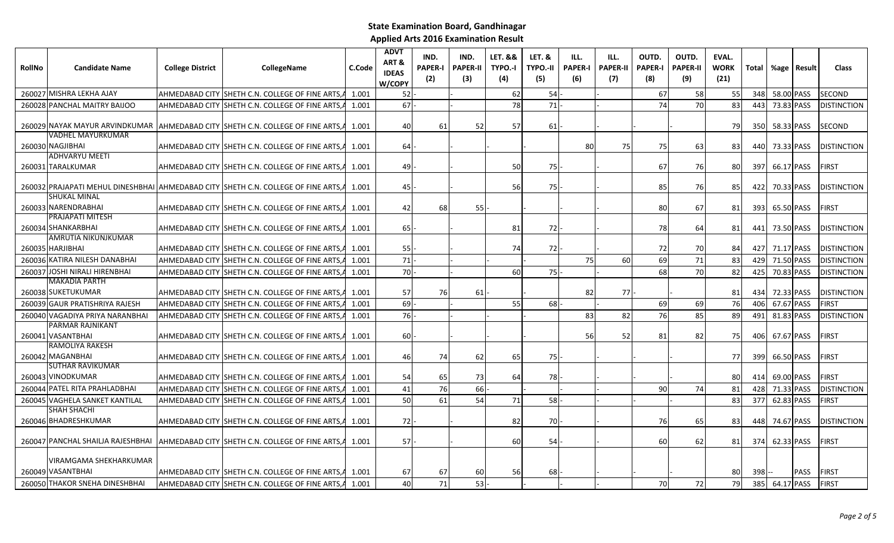| <b>RollNo</b> | <b>Candidate Name</b>                       | <b>College District</b> | <b>CollegeName</b>                                                                        | C.Code | <b>ADVT</b><br>ART&<br><b>IDEAS</b><br>W/COPY | IND.<br><b>PAPER-I</b><br>(2) | IND.<br><b>PAPER-II</b><br>(3) | <b>LET. &amp;&amp;</b><br>TYPO.-I<br>(4) | <b>LET. &amp;</b><br><b>TYPO.-II</b><br>(5) | ILL.<br><b>PAPER-I</b><br>(6) | ILL.<br><b>PAPER-II</b><br>(7) | OUTD.<br><b>PAPER-I</b><br>(8) | OUTD.<br><b>PAPER-II</b><br>(9) | EVAL.<br><b>WORK</b><br>(21) |         | Total %age | Result      | <b>Class</b>       |
|---------------|---------------------------------------------|-------------------------|-------------------------------------------------------------------------------------------|--------|-----------------------------------------------|-------------------------------|--------------------------------|------------------------------------------|---------------------------------------------|-------------------------------|--------------------------------|--------------------------------|---------------------------------|------------------------------|---------|------------|-------------|--------------------|
|               | 260027 MISHRA LEKHA AJAY                    |                         | AHMEDABAD CITY SHETH C.N. COLLEGE OF FINE ARTS,                                           | 1.001  | 52                                            |                               |                                | 62                                       | 54                                          |                               |                                | 67                             | 58                              | <b>55</b>                    | 348     | 58.00 PASS |             | <b>SECOND</b>      |
| 260028        | PANCHAL MAITRY BAIJOO                       |                         | AHMEDABAD CITY SHETH C.N. COLLEGE OF FINE ARTS                                            | 1.001  | 67                                            |                               |                                | 78                                       | 71                                          |                               |                                | 74                             | 70                              | 83                           | 443     | 73.83 PASS |             | <b>DISTINCTION</b> |
|               |                                             |                         | 260029 NAYAK MAYUR ARVINDKUMAR AHMEDABAD CITY SHETH C.N. COLLEGE OF FINE ARTS, 4 1.001    |        | 40                                            | 61                            | 52                             | 57                                       | 61                                          |                               |                                |                                |                                 | <b>79</b>                    | 350I    | 58.33 PASS |             | <b>SECOND</b>      |
|               | VADHEL MAYURKUMAR<br>260030 NAGJIBHAI       |                         | AHMEDABAD CITY SHETH C.N. COLLEGE OF FINE ARTS, 4 1.001                                   |        | 64                                            |                               |                                |                                          |                                             | 80                            | 75                             | 75                             | 63                              | 83                           | 440     | 73.33 PASS |             | <b>DISTINCTION</b> |
| 260031        | <b>ADHVARYU MEETI</b><br><b>TARALKUMAR</b>  |                         | AHMEDABAD CITY SHETH C.N. COLLEGE OF FINE ARTS, 4 1.001                                   |        | 49                                            |                               |                                | 50                                       | 75                                          |                               |                                | 67                             | 76                              | 80                           | 397     | 66.17 PASS |             | <b>FIRST</b>       |
|               | <b>SHUKAL MINAL</b>                         |                         | 260032 PRAJAPATI MEHUL DINESHBHAI AHMEDABAD CITY SHETH C.N. COLLEGE OF FINE ARTS, 4 1.001 |        | 45                                            |                               |                                | 56                                       | <b>75</b>                                   |                               |                                | 85                             | 76                              | 851                          | 422     | 70.33 PASS |             | <b>DISTINCTION</b> |
|               | 260033 NARENDRABHAI                         |                         | AHMEDABAD CITY SHETH C.N. COLLEGE OF FINE ARTS, 4 1.001                                   |        | 42                                            | 68                            | 55                             |                                          |                                             |                               |                                | 80                             | 67                              | 81                           | 393     | 65.50 PASS |             | <b>FIRST</b>       |
|               | PRAJAPATI MITESH<br>260034 SHANKARBHAI      |                         | AHMEDABAD CITY ISHETH C.N. COLLEGE OF FINE ARTS.A                                         | 1.001  | 65                                            |                               |                                | 81                                       | 72                                          |                               |                                | 78                             | 64                              | 81                           | 441     | 73.50 PASS |             | <b>DISTINCTION</b> |
|               | AMRUTIA NIKUNJKUMAR<br>260035 HARJIBHAI     |                         | AHMEDABAD CITY SHETH C.N. COLLEGE OF FINE ARTS, A                                         | 1.001  | 55                                            |                               |                                | 74                                       | 72                                          |                               |                                | 72                             | 70                              | 84                           | 427     | 71.17 PASS |             | <b>DISTINCTION</b> |
| 260036        | KATIRA NILESH DANABHAI                      |                         | AHMEDABAD CITY SHETH C.N. COLLEGE OF FINE ARTS                                            | 1.001  | 71                                            |                               |                                |                                          |                                             | 75                            | 60                             | 69                             | 71                              | 83                           | 429     | 71.50 PASS |             | <b>DISTINCTION</b> |
| 260037        | <b>JOSHI NIRALI HIRENBHAI</b>               |                         | AHMEDABAD CITY SHETH C.N. COLLEGE OF FINE ARTS,                                           | 1.001  | 70                                            |                               |                                | 60                                       | 75                                          |                               |                                | 68                             | 70                              | 82                           | 425     | 70.83 PASS |             | <b>DISTINCTION</b> |
|               | <b>MAKADIA PARTH</b>                        |                         |                                                                                           |        |                                               |                               |                                |                                          |                                             |                               |                                |                                |                                 |                              |         |            |             |                    |
| 260038        | <b>SUKETUKUMAR</b>                          |                         | AHMEDABAD CITY SHETH C.N. COLLEGE OF FINE ARTS,                                           | 1.001  | 57                                            | 76I                           | 61                             |                                          |                                             | 82                            | 77                             |                                |                                 | 81                           | 434     | 72.33 PASS |             | <b>DISTINCTION</b> |
| 260039        | <b>GAUR PRATISHRIYA RAJESH</b>              |                         | AHMEDABAD CITY SHETH C.N. COLLEGE OF FINE ARTS                                            | 1.001  | 69                                            |                               |                                | 55                                       | 68                                          |                               |                                | 69                             | 69                              | 76                           | 406     | 67.67 PASS |             | <b>FIRST</b>       |
| 260040        | VAGADIYA PRIYA NARANBHAI                    |                         | AHMEDABAD CITY SHETH C.N. COLLEGE OF FINE ARTS                                            | 1.001  | 76                                            |                               |                                |                                          |                                             | 83                            | 82                             | 76                             | 85                              | 89                           | 491     | 81.83 PASS |             | <b>DISTINCTION</b> |
|               | PARMAR RAJNIKANT<br>260041 VASANTBHAI       |                         | AHMEDABAD CITY SHETH C.N. COLLEGE OF FINE ARTS,                                           | 1.001  | 60                                            |                               |                                |                                          |                                             | 56                            | 52                             | 81                             | 82                              | 75I                          | 406     | 67.67 PASS |             | <b>FIRST</b>       |
|               | RAMOLIYA RAKESH<br>260042 MAGANBHAI         |                         | AHMEDABAD CITY SHETH C.N. COLLEGE OF FINE ARTS, 4 1.001                                   |        | 46                                            | 74                            | 62                             | 65                                       | <b>75</b>                                   |                               |                                |                                |                                 | 77                           | 399     | 66.50 PASS |             | <b>FIRST</b>       |
| 260043        | SUTHAR RAVIKUMAR<br><b>VINODKUMAR</b>       |                         | AHMEDABAD CITY SHETH C.N. COLLEGE OF FINE ARTS.                                           | 1.001  | 54                                            | 65                            | 73                             | 64                                       | 78                                          |                               |                                |                                |                                 | 80                           | 414     | 69.00 PASS |             | <b>FIRST</b>       |
| 260044        | PATEL RITA PRAHLADBHAI                      |                         | AHMEDABAD CITY SHETH C.N. COLLEGE OF FINE ARTS                                            | 1.001  | 41                                            | 76                            | 66                             |                                          |                                             |                               |                                | 90                             | 74                              | 81                           | 428     | 71.33 PASS |             | <b>DISTINCTION</b> |
| 260045        | <b>VAGHELA SANKET KANTILAL</b>              |                         | AHMEDABAD CITY SHETH C.N. COLLEGE OF FINE ARTS                                            | 1.001  | 50                                            | 61                            | 54                             | 71                                       | 58                                          |                               |                                |                                |                                 | 83                           | 377     | 62.83 PASS |             | <b>FIRST</b>       |
|               | SHAH SHACHI<br>260046 BHADRESHKUMAR         |                         | AHMEDABAD CITY SHETH C.N. COLLEGE OF FINE ARTS, A                                         | 1.001  | 72                                            |                               |                                | 82                                       | 70                                          |                               |                                | 76                             | 65                              | 83                           | 448     | 74.67 PASS |             | <b>DISTINCTION</b> |
|               |                                             |                         | 260047 PANCHAL SHAILJA RAJESHBHAI AHMEDABAD CITY SHETH C.N. COLLEGE OF FINE ARTS,         | 1.001  | 57                                            |                               |                                | 60                                       | 54                                          |                               |                                | 60                             | 62                              | 81                           | 374     | 62.33 PASS |             | <b>FIRST</b>       |
|               | VIRAMGAMA SHEKHARKUMAR<br>260049 VASANTBHAI |                         | AHMEDABAD CITY ISHETH C.N. COLLEGE OF FINE ARTS.A 1.001                                   |        | 67                                            | 67                            | 60                             | 56                                       | 68                                          |                               |                                |                                |                                 | 80                           | $398 -$ |            | <b>PASS</b> | <b>FIRST</b>       |
| 260050        | <b>THAKOR SNEHA DINESHBHAI</b>              |                         | AHMEDABAD CITY SHETH C.N. COLLEGE OF FINE ARTS                                            | 1.001  | 40                                            | 71                            | 53                             |                                          |                                             |                               |                                | 70                             | 72                              | 79                           | 385     | 64.17 PASS |             | <b>FIRST</b>       |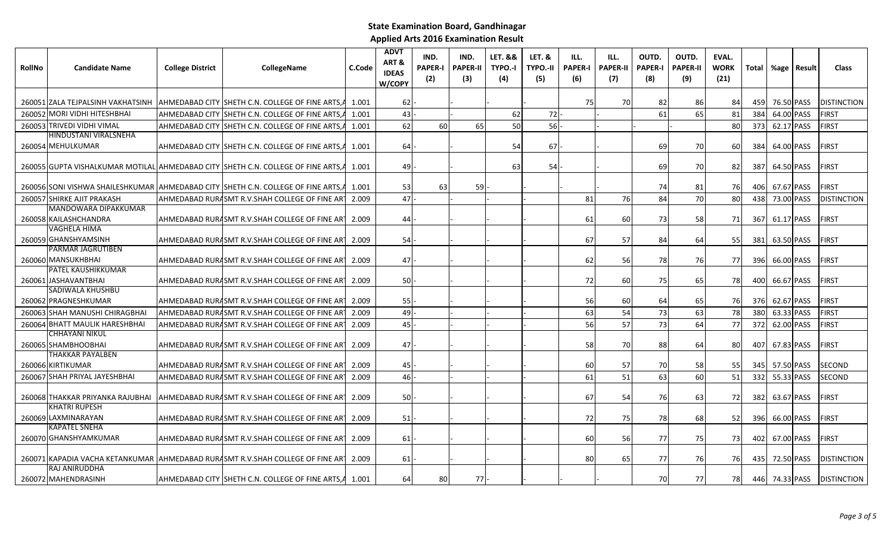| <b>RollNo</b> | <b>Candidate Name</b>             | <b>College District</b> | CollegeName                                                                        | C.Code | <b>ADVT</b><br>ART&<br><b>IDEAS</b><br>W/COPY | IND.<br><b>PAPER-I</b><br>(2) | IND.<br><b>PAPER-II</b><br>(3) | <b>LET. &amp;&amp;</b><br>TYPO.-I<br>(4) | LET. &<br><b>TYPO.-II</b><br>(5) | ILL.<br><b>PAPER-I</b><br>(6) | ILL.<br><b>PAPER-II</b><br>(7) | OUTD.<br><b>PAPER-I</b><br>(8) | OUTD.<br><b>PAPER-II</b><br>(9) | EVAL.<br><b>WORK</b><br>(21) | <b>Total</b> | %age   Result | <b>Class</b>       |
|---------------|-----------------------------------|-------------------------|------------------------------------------------------------------------------------|--------|-----------------------------------------------|-------------------------------|--------------------------------|------------------------------------------|----------------------------------|-------------------------------|--------------------------------|--------------------------------|---------------------------------|------------------------------|--------------|---------------|--------------------|
|               |                                   |                         |                                                                                    |        |                                               |                               |                                |                                          |                                  |                               |                                |                                |                                 |                              |              |               |                    |
|               | 260051 ZALA TEJPALSINH VAKHATSINH |                         | AHMEDABAD CITY SHETH C.N. COLLEGE OF FINE ARTS, A                                  | 1.001  | 62                                            |                               |                                |                                          |                                  | 75                            | 70                             | 82                             | 86                              | 84                           | 459          | 76.50 PASS    | <b>DISTINCTION</b> |
|               | 260052 MORI VIDHI HITESHBHAI      |                         | AHMEDABAD CITY ISHETH C.N. COLLEGE OF FINE ARTS.A                                  | 1.001  | 43                                            |                               |                                | 62                                       | 72                               |                               |                                | 61                             | 65                              | 81                           | 384          | 64.00 PASS    | <b>FIRST</b>       |
|               | 260053 TRIVEDI VIDHI VIMAL        |                         | AHMEDABAD CITY SHETH C.N. COLLEGE OF FINE ARTS.A                                   | 1.001  | 62                                            | 60                            | 65                             | 50                                       | 56                               |                               |                                |                                |                                 | 80                           | 373          | 62.17 PASS    | FIRST              |
|               | HINDUSTANI VIRALSNEHA             |                         |                                                                                    |        |                                               |                               |                                |                                          |                                  |                               |                                |                                |                                 |                              |              |               |                    |
|               | 260054 MEHULKUMAR                 |                         | AHMEDABAD CITY  SHETH C.N. COLLEGE OF FINE ARTS,A                                  | 1.001  | 64 I                                          |                               |                                | 54                                       | 67                               |                               |                                | 69                             | 70                              | 60                           | 384          | 64.00 PASS    | <b>IFIRST</b>      |
|               |                                   |                         | 260055 GUPTA VISHALKUMAR MOTILAL AHMEDABAD CITY SHETH C.N. COLLEGE OF FINE ARTS, A | 1.001  | 49                                            |                               |                                | 63                                       | 54                               |                               |                                | 69                             | 70I                             | 82                           | 387          | 64.50 PASS    | <b>FIRST</b>       |
|               |                                   |                         | 260056 SONI VISHWA SHAILESHKUMAR AHMEDABAD CITY SHETH C.N. COLLEGE OF FINE ARTS, A | 1.001  | 53                                            | 63                            | <b>59</b>                      |                                          |                                  |                               |                                | 74                             | 81                              | 76                           | 406          | 67.67 PASS    | <b>FIRST</b>       |
|               | 260057 SHIRKE AJIT PRAKASH        |                         | AHMEDABAD RURASMT R.V.SHAH COLLEGE OF FINE ART                                     | 2.009  | 47                                            |                               |                                |                                          |                                  | 81                            | 76                             | 84                             | 70                              | 80                           | 438          | 73.00 PASS    | <b>DISTINCTION</b> |
|               | <b>MANDOWARA DIPAKKUMAR</b>       |                         |                                                                                    |        |                                               |                               |                                |                                          |                                  |                               |                                |                                |                                 |                              |              |               |                    |
|               | 260058 KAILASHCHANDRA             |                         | AHMEDABAD RURASMT R.V.SHAH COLLEGE OF FINE ART                                     | 2.009  | 44                                            |                               |                                |                                          |                                  | 61                            | 60                             | 73                             | 58                              | 71                           | 367          | 61.17 PASS    | <b>FIRST</b>       |
|               | <b>VAGHELA HIMA</b>               |                         |                                                                                    |        |                                               |                               |                                |                                          |                                  |                               |                                |                                |                                 |                              |              |               |                    |
|               | 260059 GHANSHYAMSINH              |                         | AHMEDABAD RURASMT R.V.SHAH COLLEGE OF FINE ART                                     | 2.009  | <b>541</b>                                    |                               |                                |                                          |                                  | 67                            | 57                             | 84                             | 64                              | 55                           | 381          | 63.50 PASS    | <b>IFIRST</b>      |
|               | <b>PARMAR JAGRUTIBEN</b>          |                         |                                                                                    |        |                                               |                               |                                |                                          |                                  |                               |                                |                                |                                 |                              |              |               |                    |
|               | 260060 MANSUKHBHAI                |                         | AHMEDABAD RURASMT R.V.SHAH COLLEGE OF FINE AR I                                    | 2.009  | 47                                            |                               |                                |                                          |                                  | 62                            | 56                             | 78                             | 76                              | 77                           | 396          | 66.00 PASS    | <b>FIRST</b>       |
|               | <b>PATEL KAUSHIKKUMAR</b>         |                         |                                                                                    |        |                                               |                               |                                |                                          |                                  |                               |                                |                                |                                 |                              |              |               |                    |
|               | 260061 JASHAVANTBHAI              |                         | AHMEDABAD RURASMT R.V.SHAH COLLEGE OF FINE ART                                     | 2.009  | 50                                            |                               |                                |                                          |                                  | 72                            | 60                             | 75                             | 65                              | 78                           | 400          | 66.67 PASS    | <b>IFIRST</b>      |
|               | SADIWALA KHUSHBU                  |                         |                                                                                    |        |                                               |                               |                                |                                          |                                  |                               |                                |                                |                                 |                              |              |               |                    |
|               | 260062 PRAGNESHKUMAR              |                         | AHMEDABAD RURASMT R.V.SHAH COLLEGE OF FINE ART                                     | 2.009  | 55                                            |                               |                                |                                          |                                  | 56                            | 60                             | 64                             | 65                              | 76                           | 376          | 62.67 PASS    | <b>FIRST</b>       |
|               | 260063 SHAH MANUSHI CHIRAGBHAI    |                         | AHMEDABAD RURASMT R.V.SHAH COLLEGE OF FINE ART                                     | 2.009  | 49                                            |                               |                                |                                          |                                  | 63                            | 54                             | 73                             | 63                              | 78                           | 380          | 63.33 PASS    | <b>FIRST</b>       |
|               | 260064 BHATT MAULIK HARESHBHAI    |                         | AHMEDABAD RURASMT R.V.SHAH COLLEGE OF FINE ART                                     | 2.009  | 45                                            |                               |                                |                                          |                                  | 56                            | 57                             | 73                             | 64                              | 77                           | 372          | 62.00 PASS    | FIRST              |
|               | CHHAYANI NIKUL                    |                         |                                                                                    |        |                                               |                               |                                |                                          |                                  |                               |                                |                                |                                 |                              |              |               |                    |
|               | 260065 SHAMBHOOBHAI               |                         | AHMEDABAD RURASMT R.V.SHAH COLLEGE OF FINE AR I                                    | 2.009  | 47                                            |                               |                                |                                          |                                  | 58                            | 70                             | 88                             | 64                              | 80                           | 407          | 67.83 PASS    | <b>FIRST</b>       |
|               | THAKKAR PAYALBEN                  |                         |                                                                                    |        |                                               |                               |                                |                                          |                                  |                               |                                |                                |                                 |                              |              |               |                    |
|               | 260066 KIRTIKUMAR                 |                         | AHMEDABAD RURASMT R.V.SHAH COLLEGE OF FINE ART                                     | 2.009  | 45                                            |                               |                                |                                          |                                  | 60                            | 57                             | 70                             | 58                              | 55                           | 345          | 57.50 PASS    | <b>SECOND</b>      |
|               | 260067 SHAH PRIYAL JAYESHBHAI     |                         | AHMEDABAD RURASMT R.V.SHAH COLLEGE OF FINE ART                                     | 2.009  | 46                                            |                               |                                |                                          |                                  | 61                            | 51                             | 63                             | 60                              | 51                           | 332          | 55.33 PASS    | <b>SECOND</b>      |
|               | 260068 THAKKAR PRIYANKA RAJUBHAI  |                         | AHMEDABAD RURASMT R.V.SHAH COLLEGE OF FINE ART                                     | 2.009  | <b>50</b>                                     |                               |                                |                                          |                                  | 67                            | 54                             | 76                             | 63                              | 72                           | 382          | 63.67 PASS    | <b>FIRST</b>       |
|               | <b>KHATRI RUPESH</b>              |                         |                                                                                    |        |                                               |                               |                                |                                          |                                  |                               |                                |                                |                                 |                              |              |               |                    |
|               | 260069 LAXMINARAYAN               |                         | AHMEDABAD RURASMT R.V.SHAH COLLEGE OF FINE ART                                     | 2.009  | 51                                            |                               |                                |                                          |                                  | 72                            | <b>75</b>                      | 78                             | 68                              | 52                           | 396          | 66.00 PASS    | <b>IFIRST</b>      |
|               | <b>KAPATEL SNEHA</b>              |                         |                                                                                    |        |                                               |                               |                                |                                          |                                  |                               |                                |                                |                                 |                              |              |               |                    |
|               | 260070 GHANSHYAMKUMAR             |                         | AHMEDABAD RURASMT R.V.SHAH COLLEGE OF FINE ART                                     | 2.009  | 61                                            |                               |                                |                                          |                                  | 60                            | 56                             | 77                             | 75 l                            | 73                           | 402          | 67.00 PASS    | <b>FIRST</b>       |

260071 KAPADIA VACHA KETANKUMAR AHMEDABAD RURALSMT R.V.SHAH COLLEGE OF FINE ARTS,DHOLKA,AHMEDABAD-387810 AHMEDABAD-RURAL 2.009 <sup>61</sup> - - - - <sup>80</sup> <sup>65</sup> <sup>77</sup> <sup>76</sup> <sup>76</sup> <sup>435</sup> 72.50 PASS DISTINCTION

AHMEDABAD CITY SHETH C.N. COLLEGE OF FINE ARTS, $A$  1.001  $\begin{vmatrix} 64 & 80 & 77 \\ 80 & 77 & -1 \end{vmatrix}$  - - - - - - - - 70 77 78 446 74.33 PASS DISTINCTION

260072 MAHENDRASINHRAJ ANIRUDDHA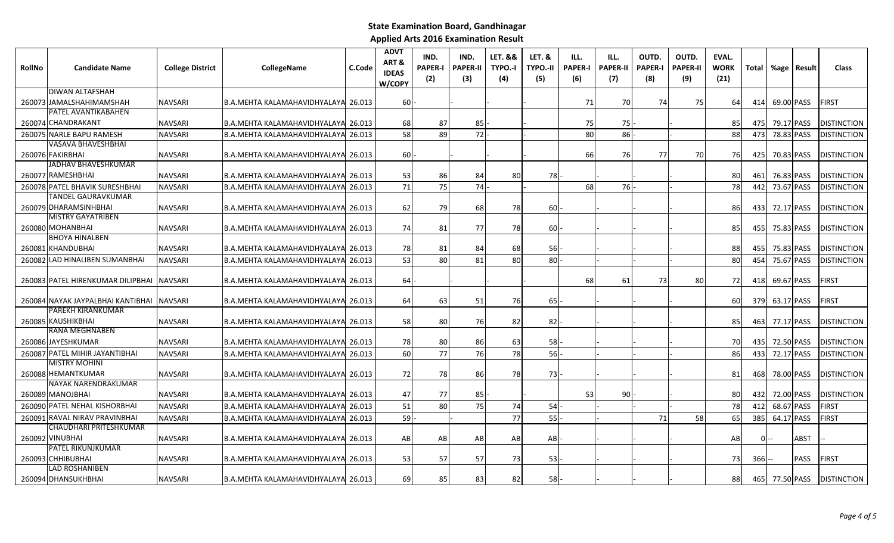| <b>PAPER-I</b><br><b>PAPER-II</b><br>TYPO.-I<br><b>TYPO.-II</b><br><b>Candidate Name</b><br>CollegeName<br>C.Code<br><b>RollNo</b><br><b>College District</b><br><b>IDEAS</b><br>(3)<br>(2)<br>(4)<br>(5)<br>W/COPY | ILL.<br><b>PAPER-II</b><br><b>PAPER-I</b><br>(6)<br>(7) | OUTD.<br><b>PAPER-I</b><br>(8) | OUTD.<br><b>PAPER-II</b><br>(9) | EVAL.<br><b>WORK</b><br>(21) |              | Total %age     | Result     | <b>Class</b>       |
|---------------------------------------------------------------------------------------------------------------------------------------------------------------------------------------------------------------------|---------------------------------------------------------|--------------------------------|---------------------------------|------------------------------|--------------|----------------|------------|--------------------|
| <b>DIWAN ALTAFSHAH</b>                                                                                                                                                                                              |                                                         |                                |                                 |                              |              |                |            |                    |
| 260073 JAMALSHAHIMAMSHAH<br><b>NAVSARI</b><br>B.A.MEHTA KALAMAHAVIDHYALAYA 26.013<br>60                                                                                                                             | 71<br>70                                                | 74                             | 75                              | 64                           | 414          | 69.00 PASS     |            | <b>FIRST</b>       |
| PATEL AVANTIKABAHEN                                                                                                                                                                                                 |                                                         |                                |                                 |                              |              |                |            |                    |
| 260074 CHANDRAKANT<br><b>NAVSARI</b><br>B.A.MEHTA KALAMAHAVIDHYALAYA 26.013<br>68<br>87<br>85                                                                                                                       | 75<br>75                                                |                                |                                 | 85                           | 475          |                | 79.17 PASS | <b>DISTINCTION</b> |
| 72<br>58<br>89<br>260075 NARLE BAPU RAMESH<br><b>NAVSARI</b><br><b>B.A.MEHTA KALAMAHAVIDHYALAY</b><br>26.013                                                                                                        | 80<br>86                                                |                                |                                 | 88                           | 473          | 78.83 PASS     |            | <b>DISTINCTION</b> |
| VASAVA BHAVESHBHAI<br>260076 FAKIRBHAI<br>60<br><b>NAVSARI</b><br>B.A.MEHTA KALAMAHAVIDHYALAYA 26.013                                                                                                               | 66<br>76                                                | 77                             | 70                              | 76                           | 425          | 70.83 PASS     |            | <b>DISTINCTION</b> |
| JADHAV BHAVESHKUMAR                                                                                                                                                                                                 |                                                         |                                |                                 |                              |              |                |            |                    |
| 260077 RAMESHBHAI<br>53<br>84<br>80<br>78<br><b>NAVSARI</b><br>B.A.MEHTA KALAMAHAVIDHYALAYA 26.013<br>86                                                                                                            |                                                         |                                |                                 | 80                           | 461          |                | 76.83 PASS | <b>DISTINCTION</b> |
| 74<br>71<br>75<br>260078 PATEL BHAVIK SURESHBHAI<br><b>NAVSARI</b><br>B.A.MEHTA KALAMAHAVIDHYALAYA 26.013                                                                                                           | 68<br>76                                                |                                |                                 | 78                           | 442          | 73.67 PASS     |            | <b>DISTINCTION</b> |
| TANDEL GAURAVKUMAR                                                                                                                                                                                                  |                                                         |                                |                                 |                              |              |                |            |                    |
| 260079 DHARAMSINHBHAI<br>79<br>68<br>60<br><b>NAVSARI</b><br>B.A.MEHTA KALAMAHAVIDHYALAYA 26.013<br>62<br>78                                                                                                        |                                                         |                                |                                 | 86                           | 4331         | 72.17 PASS     |            | <b>DISTINCTION</b> |
| <b>MISTRY GAYATRIBEN</b>                                                                                                                                                                                            |                                                         |                                |                                 |                              |              |                |            |                    |
| 260080 MOHANBHAI<br>81<br>77<br>78<br>60<br><b>NAVSARI</b><br>B.A.MEHTA KALAMAHAVIDHYALAYA 26.013<br>74                                                                                                             |                                                         |                                |                                 | 85                           | 455          | 75.83 PASS     |            | <b>DISTINCTION</b> |
| <b>BHOYA HINALBEN</b>                                                                                                                                                                                               |                                                         |                                |                                 |                              |              |                |            |                    |
| 260081 KHANDUBHAI<br><b>NAVSARI</b><br>B.A.MEHTA KALAMAHAVIDHYALAYA 26.013<br>78<br>81<br>84<br>68<br>56                                                                                                            |                                                         |                                |                                 | 88                           | 455          | 75.83 PASS     |            | <b>DISTINCTION</b> |
| 53<br>81<br><b>LAD HINALIBEN SUMANBHAI</b><br><b>80</b><br>80<br>80<br>260082<br><b>NAVSARI</b><br><b>B.A.MEHTA KALAMAHAVIDHYALAY</b><br>26.013                                                                     |                                                         |                                |                                 | 80                           | 454          | 75.67 PASS     |            | <b>DISTINCTION</b> |
| 260083 PATEL HIRENKUMAR DILIPBHAI<br><b>NAVSARI</b><br>B.A.MEHTA KALAMAHAVIDHYALAYA 26.013<br>64                                                                                                                    | 68<br>61                                                | 73                             | 80                              | 72                           | 418          | 69.67 PASS     |            | <b>FIRST</b>       |
| 260084 NAYAK JAYPALBHAI KANTIBHAI<br>B.A.MEHTA KALAMAHAVIDHYALAYA 26.013<br>64<br>63<br>51<br>76<br>65<br><b>NAVSARI</b>                                                                                            |                                                         |                                |                                 | 60                           | 379          | 63.17 PASS     |            | <b>FIRST</b>       |
| PAREKH KIRANKUMAR                                                                                                                                                                                                   |                                                         |                                |                                 |                              |              |                |            |                    |
| 260085 KAUSHIKBHAI<br><b>NAVSARI</b><br>B.A.MEHTA KALAMAHAVIDHYALAYA 26.013<br>58<br>76<br>82<br>80<br>82                                                                                                           |                                                         |                                |                                 | 85                           | 463          | 77.17 PASS     |            | <b>DISTINCTION</b> |
| RANA MEGHNABEN                                                                                                                                                                                                      |                                                         |                                |                                 |                              |              |                |            |                    |
| 260086 JAYESHKUMAR<br>NAVSARI<br>B.A.MEHTA KALAMAHAVIDHYALAYA 26.013<br>78<br>80<br>86<br>63<br>58                                                                                                                  |                                                         |                                |                                 | 70                           | 435 <b>I</b> | 72.50 PASS     |            | <b>DISTINCTION</b> |
| 76<br>77<br>60<br>78<br>56<br>PATEL MIHIR JAYANTIBHAI<br>260087<br><b>NAVSARI</b><br><b>B.A.MEHTA KALAMAHAVIDHYALAY</b><br>126.013                                                                                  |                                                         |                                |                                 | 86                           | 433          | 72.17 PASS     |            | <b>DISTINCTION</b> |
| <b>MISTRY MOHINI</b>                                                                                                                                                                                                |                                                         |                                |                                 |                              |              |                |            |                    |
| <b>HEMANTKUMAR</b><br>260088<br><b>NAVSARI</b><br>B.A.MEHTA KALAMAHAVIDHYALAYA 26.013<br><b>72</b><br>78<br>86<br>78<br>73                                                                                          |                                                         |                                |                                 | 81                           | 468          |                | 78.00 PASS | <b>DISTINCTION</b> |
| NAYAK NARENDRAKUMAR                                                                                                                                                                                                 |                                                         |                                |                                 |                              |              |                |            |                    |
| 260089 MANOJBHAI<br><b>NAVSARI</b><br>B.A.MEHTA KALAMAHAVIDHYALAYA 26.013<br>47<br>77<br>85                                                                                                                         | 53<br>90                                                |                                |                                 | 80                           | 432          | 72.00 PASS     |            | <b>DISTINCTION</b> |
| 75<br>51<br>80<br><b>PATEL NEHAL KISHORBHAI</b><br>74<br><b>B.A.MEHTA KALAMAHAVIDHYALAY</b><br>54<br>260090<br>NAVSARI<br>26.013                                                                                    |                                                         |                                |                                 | 78                           | 412          | 68.67 PASS     |            | <b>FIRST</b>       |
| 77<br>55<br>RAVAL NIRAV PRAVINBHAI<br>59<br>B.A.MEHTA KALAMAHAVIDHYALAYA 26.013<br>260091<br><b>NAVSARI</b>                                                                                                         |                                                         | 71                             | 58                              | 65                           | 385          |                | 64.17 PASS | <b>FIRST</b>       |
| CHAUDHARI PRITESHKUMAR                                                                                                                                                                                              |                                                         |                                |                                 |                              |              |                |            |                    |
| 260092 VINUBHAI<br><b>NAVSARI</b><br>B.A.MEHTA KALAMAHAVIDHYALAYA 26.013<br>AB<br>AB<br>AB<br>AB<br>AB                                                                                                              |                                                         |                                |                                 | AB                           |              |                | ABST       |                    |
| PATEL RIKUNJKUMAR                                                                                                                                                                                                   |                                                         |                                |                                 |                              |              |                |            |                    |
| 57<br>260093 CHHIBUBHAI<br>53<br>57<br>73<br><b>NAVSARI</b><br>B.A.MEHTA KALAMAHAVIDHYALAYA 26.013<br>53<br>LAD ROSHANIBEN                                                                                          |                                                         |                                |                                 | 73                           | 366I         |                | PASS       | <b>FIRST</b>       |
| 260094 DHANSUKHBHAI<br>69<br>85<br>83<br>82<br>58<br><b>NAVSARI</b><br>B.A.MEHTA KALAMAHAVIDHYALAYA 26.013                                                                                                          |                                                         |                                |                                 | 881                          |              | 465 77.50 PASS |            | <b>DISTINCTION</b> |